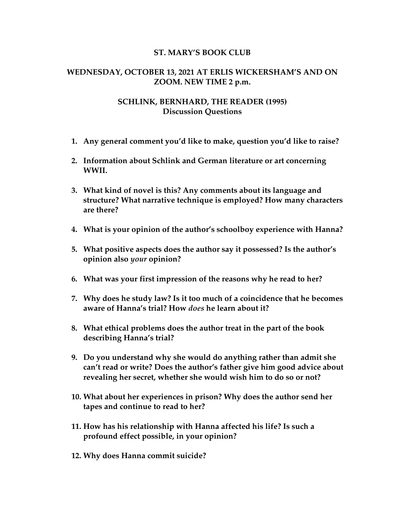## **ST. MARY'S BOOK CLUB**

## **WEDNESDAY, OCTOBER 13, 2021 AT ERLIS WICKERSHAM'S AND ON ZOOM. NEW TIME 2 p.m.**

## **SCHLINK, BERNHARD, THE READER (1995) Discussion Questions**

- **1. Any general comment you'd like to make, question you'd like to raise?**
- **2. Information about Schlink and German literature or art concerning WWII.**
- **3. What kind of novel is this? Any comments about its language and structure? What narrative technique is employed? How many characters are there?**
- **4. What is your opinion of the author's schoolboy experience with Hanna?**
- **5. What positive aspects does the author say it possessed? Is the author's opinion also** *your* **opinion?**
- **6. What was your first impression of the reasons why he read to her?**
- **7. Why does he study law? Is it too much of a coincidence that he becomes aware of Hanna's trial? How** *does* **he learn about it?**
- **8. What ethical problems does the author treat in the part of the book describing Hanna's trial?**
- **9. Do you understand why she would do anything rather than admit she can't read or write? Does the author's father give him good advice about revealing her secret, whether she would wish him to do so or not?**
- **10. What about her experiences in prison? Why does the author send her tapes and continue to read to her?**
- **11. How has his relationship with Hanna affected his life? Is such a profound effect possible, in your opinion?**
- **12. Why does Hanna commit suicide?**